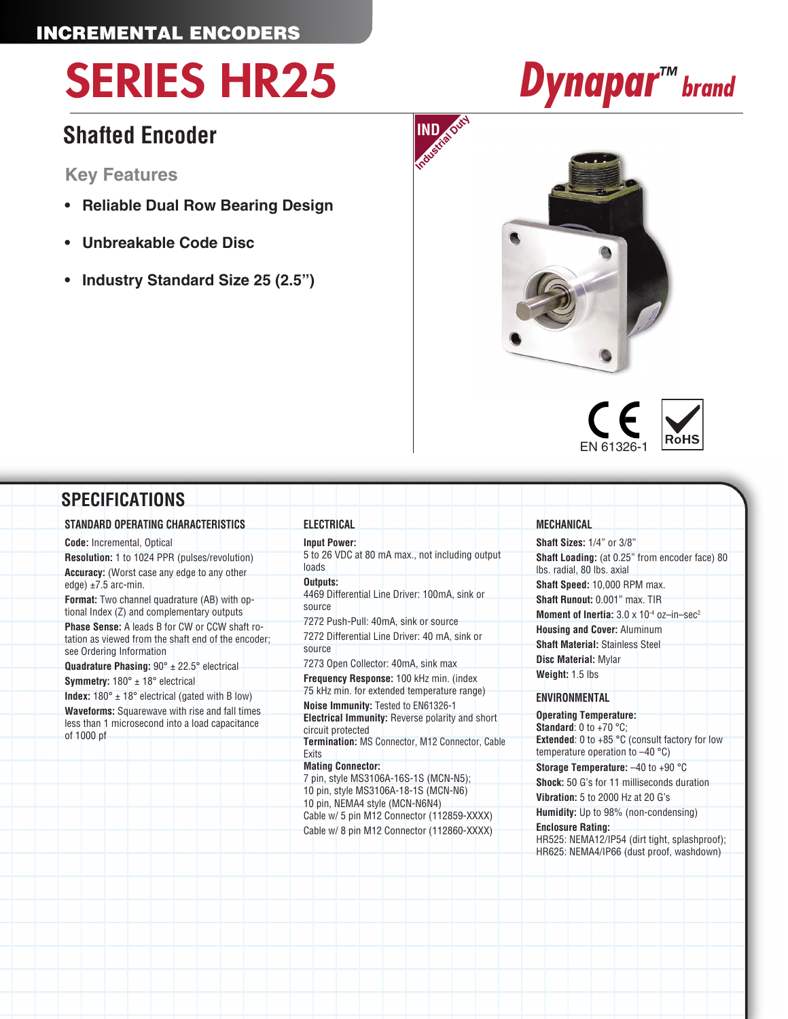### INCREMENTAL ENCODERS

# SERIES HR25 *Dynapar™ brand*

### **Shafted Encoder**

**Key Features**

- **• Reliable Dual Row Bearing Design**
- **• Unbreakable Code Disc**
- **• Industry Standard Size 25 (2.5")**









#### **SPECIFICATIONS STANDARD OPERATING CHARACTERISTICS Code:** Incremental, Optical **Resolution:** 1 to 1024 PPR (pulses/revolution) **Accuracy:** (Worst case any edge to any other edge)  $\pm 7.5$  arc-min. **Format:** Two channel quadrature (AB) with optional Index (Z) and complementary outputs **Phase Sense:** A leads B for CW or CCW shaft rotation as viewed from the shaft end of the encoder; see Ordering Information **Quadrature Phasing:** 90° ± 22.5° electrical **Symmetry:** 180° ± 18° electrical **Index:**  $180^\circ \pm 18^\circ$  electrical (gated with B low) **Waveforms:** Squarewave with rise and fall times less than 1 microsecond into a load capacitance of 1000 pf **ELECTRICAL Input Power:** 5 to 26 VDC at 80 mA max., not including output loads **Outputs:** 4469 Differential Line Driver: 100mA, sink or source 7272 Push-Pull: 40mA, sink or source 7272 Differential Line Driver: 40 mA, sink or source 7273 Open Collector: 40mA, sink max **Frequency Response:** 100 kHz min. (index 75 kHz min. for extended temperature range) **Noise Immunity:** Tested to EN61326-1 **Electrical Immunity:** Reverse polarity and short circuit protected **Termination:** MS Connector, M12 Connector, Cable **Exits Mating Connector:** 7 pin, style MS3106A-16S-1S (MCN-N5); 10 pin, style MS3106A-18-1S (MCN-N6) 10 pin, NEMA4 style (MCN-N6N4) Cable w/ 5 pin M12 Connector (112859-XXXX) Cable w/ 8 pin M12 Connector (112860-XXXX) **MECHANICAL Shaft Sizes:** 1/4" or 3/8" **Shaft Loading:** (at 0.25" from encoder face) 80 lbs. radial, 80 lbs. axial **Shaft Speed:** 10,000 RPM max. **Shaft Runout:** 0.001" max. TIR **Moment of Inertia:**  $3.0 \times 10^{-4}$  oz-in-sec<sup>2</sup> **Housing and Cover:** Aluminum **Shaft Material:** Stainless Steel **Disc Material:** Mylar **Weight:** 1.5 lbs **ENVIRONMENTAL Operating Temperature: Standard**: 0 to +70 °C; **Extended**: 0 to +85 °C (consult factory for low temperature operation to –40 °C) **Storage Temperature:** –40 to +90 °C **Shock:** 50 G's for 11 milliseconds duration **Vibration:** 5 to 2000 Hz at 20 G's **Humidity:** Up to 98% (non-condensing) **Enclosure Rating:** HR525: NEMA12/IP54 (dirt tight, splashproof); HR625: NEMA4/IP66 (dust proof, washdown)

**INDIndustrial Duty**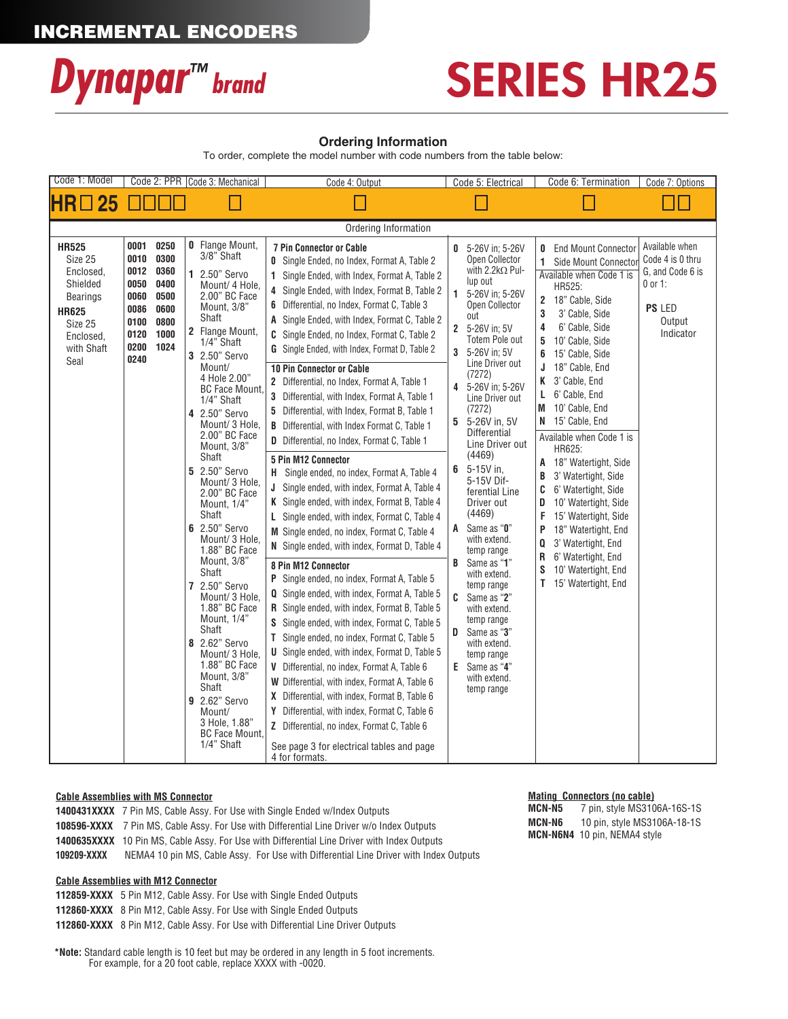

## SERIES HR25

#### **Ordering Information**

To order, complete the model number with code numbers from the table below:

| Code 1: Model                                                                                                                     | Code 2: PPR   Code 3: Mechanical                                             |                                                                      |                                                                                                                                                                                                                                                                                                                                                                                                                                                                                                                                                                                                                                                                                                                   | Code 4: Output                                                                                                                                                                                                                                                                                                                                                                                                                                                                                                                                                                                                                                                                                                                                                                                                                                                                                                                                                                                                                                                                                                                                                                                                                                                                                                                                                                                                                                                                                                                                                                                                                                                     | Code 5: Electrical                                                                                                                                                                                                                                                                                                                                                                                                                                                                                                                                                                                                                                                                        | Code 6: Termination                                                                                                                                                                                                                                                                                                                                                                                                                                                                                                                                                                                                                                                        | Code 7: Options                                                                                      |
|-----------------------------------------------------------------------------------------------------------------------------------|------------------------------------------------------------------------------|----------------------------------------------------------------------|-------------------------------------------------------------------------------------------------------------------------------------------------------------------------------------------------------------------------------------------------------------------------------------------------------------------------------------------------------------------------------------------------------------------------------------------------------------------------------------------------------------------------------------------------------------------------------------------------------------------------------------------------------------------------------------------------------------------|--------------------------------------------------------------------------------------------------------------------------------------------------------------------------------------------------------------------------------------------------------------------------------------------------------------------------------------------------------------------------------------------------------------------------------------------------------------------------------------------------------------------------------------------------------------------------------------------------------------------------------------------------------------------------------------------------------------------------------------------------------------------------------------------------------------------------------------------------------------------------------------------------------------------------------------------------------------------------------------------------------------------------------------------------------------------------------------------------------------------------------------------------------------------------------------------------------------------------------------------------------------------------------------------------------------------------------------------------------------------------------------------------------------------------------------------------------------------------------------------------------------------------------------------------------------------------------------------------------------------------------------------------------------------|-------------------------------------------------------------------------------------------------------------------------------------------------------------------------------------------------------------------------------------------------------------------------------------------------------------------------------------------------------------------------------------------------------------------------------------------------------------------------------------------------------------------------------------------------------------------------------------------------------------------------------------------------------------------------------------------|----------------------------------------------------------------------------------------------------------------------------------------------------------------------------------------------------------------------------------------------------------------------------------------------------------------------------------------------------------------------------------------------------------------------------------------------------------------------------------------------------------------------------------------------------------------------------------------------------------------------------------------------------------------------------|------------------------------------------------------------------------------------------------------|
| $HR \Box 25$                                                                                                                      | 1 II II                                                                      |                                                                      |                                                                                                                                                                                                                                                                                                                                                                                                                                                                                                                                                                                                                                                                                                                   |                                                                                                                                                                                                                                                                                                                                                                                                                                                                                                                                                                                                                                                                                                                                                                                                                                                                                                                                                                                                                                                                                                                                                                                                                                                                                                                                                                                                                                                                                                                                                                                                                                                                    |                                                                                                                                                                                                                                                                                                                                                                                                                                                                                                                                                                                                                                                                                           |                                                                                                                                                                                                                                                                                                                                                                                                                                                                                                                                                                                                                                                                            |                                                                                                      |
| Ordering Information                                                                                                              |                                                                              |                                                                      |                                                                                                                                                                                                                                                                                                                                                                                                                                                                                                                                                                                                                                                                                                                   |                                                                                                                                                                                                                                                                                                                                                                                                                                                                                                                                                                                                                                                                                                                                                                                                                                                                                                                                                                                                                                                                                                                                                                                                                                                                                                                                                                                                                                                                                                                                                                                                                                                                    |                                                                                                                                                                                                                                                                                                                                                                                                                                                                                                                                                                                                                                                                                           |                                                                                                                                                                                                                                                                                                                                                                                                                                                                                                                                                                                                                                                                            |                                                                                                      |
| <b>HR525</b><br>Size 25<br>Enclosed,<br>Shielded<br><b>Bearings</b><br><b>HR625</b><br>Size 25<br>Enclosed,<br>with Shaft<br>Seal | 0001<br>0010<br>0012<br>0050<br>0060<br>0086<br>0100<br>0120<br>0200<br>0240 | 0250<br>0300<br>0360<br>0400<br>0500<br>0600<br>0800<br>1000<br>1024 | <b>0</b> Flange Mount,<br>3/8" Shaft<br>1 2.50" Servo<br>Mount/ 4 Hole.<br>2.00" BC Face<br>Mount, 3/8"<br>Shaft<br>2 Flange Mount,<br>1/4" Shaft<br>3 2.50" Servo<br>Mount/<br>4 Hole 2.00"<br><b>BC Face Mount.</b><br>1/4" Shaft<br>4 2.50" Servo<br>Mount/ 3 Hole,<br>2.00" BC Face<br>Mount, 3/8"<br>Shaft<br>5 2.50" Servo<br>Mount/ 3 Hole,<br>2.00" BC Face<br>Mount, 1/4"<br>Shaft<br>6 2.50" Servo<br>Mount/ 3 Hole,<br>1.88" BC Face<br>Mount, 3/8"<br>Shaft<br>7 2.50" Servo<br>Mount/ 3 Hole,<br>1.88" BC Face<br>Mount, 1/4"<br>Shaft<br>8 2.62" Servo<br>Mount/ 3 Hole.<br>1.88" BC Face<br>Mount, 3/8"<br>Shaft<br>9 2.62" Servo<br>Mount/<br>3 Hole, 1.88"<br><b>BC Face Mount</b><br>1/4" Shaft | <b>7 Pin Connector or Cable</b><br><b>0</b> Single Ended, no Index, Format A, Table 2<br>1 Single Ended, with Index, Format A, Table 2<br>4 Single Ended, with Index, Format B, Table 2<br>6 Differential, no Index, Format C, Table 3<br>A Single Ended, with Index, Format C, Table 2<br>C Single Ended, no Index, Format C, Table 2<br>G Single Ended, with Index, Format D, Table 2<br><b>10 Pin Connector or Cable</b><br>2 Differential, no Index, Format A, Table 1<br>3 Differential, with Index, Format A, Table 1<br>5 Differential, with Index, Format B, Table 1<br><b>B</b> Differential, with Index Format C, Table 1<br><b>D</b> Differential, no Index, Format C, Table 1<br>5 Pin M12 Connector<br>Single ended, no index, Format A, Table 4<br>H.<br>J Single ended, with index, Format A, Table 4<br>K Single ended, with index, Format B, Table 4<br>L Single ended, with index, Format C, Table 4<br>M Single ended, no index, Format C, Table 4<br>N Single ended, with index, Format D, Table 4<br>8 Pin M12 Connector<br>P Single ended, no index, Format A, Table 5<br><b>Q</b> Single ended, with index, Format A, Table 5<br><b>R</b> Single ended, with index, Format B, Table 5<br>S Single ended, with index, Format C, Table 5<br>T Single ended, no index, Format C, Table 5<br><b>U</b> Single ended, with index, Format D, Table 5<br>V Differential, no index, Format A, Table 6<br>W Differential, with index, Format A, Table 6<br>X Differential, with index, Format B, Table 6<br>Y Differential, with index, Format C, Table 6<br>Z Differential, no index, Format C, Table 6<br>See page 3 for electrical tables and page | 5-26V in: 5-26V<br>0<br>Open Collector<br>with 2.2kΩ Pul-<br>lup out<br>1<br>5-26V in: 5-26V<br>Open Collector<br>out<br>5-26V in: 5V<br>2<br><b>Totem Pole out</b><br>5-26V in: 5V<br>3<br>Line Driver out<br>(7272)<br>5-26V in; 5-26V<br>4<br>Line Driver out<br>(7272)<br>5-26V in, 5V<br>5<br><b>Differential</b><br>Line Driver out<br>(4469)<br>$5-15V$ in,<br>6<br>5-15V Dif-<br>ferential Line<br>Driver out<br>(4469)<br>Same as "0"<br>A<br>with extend.<br>temp range<br>Same as "1"<br>B<br>with extend.<br>temp range<br>Same as "2"<br>C<br>with extend.<br>temp range<br>Same as "3"<br>D<br>with extend.<br>temp range<br>Same as "4"<br>Е<br>with extend.<br>temp range | <b>End Mount Connector</b><br>0<br>Side Mount Connector<br>Available when Code 1 is<br>HR525:<br>18" Cable, Side<br>$\mathbf{2}$<br>3<br>3' Cable, Side<br>6' Cable, Side<br>4<br>5<br>10' Cable, Side<br>6<br>15' Cable, Side<br>18" Cable, End<br>J<br>3' Cable, End<br>K<br>6' Cable, End<br>L<br>M<br>10' Cable, End<br>15' Cable, End<br>N.<br>Available when Code 1 is<br>HR625:<br>18" Watertight, Side<br>A<br>3' Watertight, Side<br>В<br>6' Watertight, Side<br>C<br>10' Watertight, Side<br>D<br>F<br>15' Watertight, Side<br>18" Watertight, End<br>P<br>Q<br>3' Watertight, End<br>R<br>6' Watertight, End<br>10' Watertight, End<br>S<br>15' Watertight, End | Available when<br>Code 4 is 0 thru<br>G, and Code 6 is<br>$0$ or 1:<br>PS LED<br>Output<br>Indicator |
|                                                                                                                                   |                                                                              |                                                                      |                                                                                                                                                                                                                                                                                                                                                                                                                                                                                                                                                                                                                                                                                                                   | 4 for formats.                                                                                                                                                                                                                                                                                                                                                                                                                                                                                                                                                                                                                                                                                                                                                                                                                                                                                                                                                                                                                                                                                                                                                                                                                                                                                                                                                                                                                                                                                                                                                                                                                                                     |                                                                                                                                                                                                                                                                                                                                                                                                                                                                                                                                                                                                                                                                                           |                                                                                                                                                                                                                                                                                                                                                                                                                                                                                                                                                                                                                                                                            |                                                                                                      |

#### **Cable Assemblies with MS Connector**

|             | <b>1400431XXXX</b> 7 Pin MS. Cable Assy, For Use with Single Ended w/Index Outputs                 |
|-------------|----------------------------------------------------------------------------------------------------|
|             | <b>108596-XXXX</b> 7 Pin MS, Cable Assy. For Use with Differential Line Driver w/o Index Outputs   |
|             | <b>1400635XXXX</b> 10 Pin MS, Cable Assy. For Use with Differential Line Driver with Index Outputs |
| 109209-XXXX | NEMA4 10 pin MS. Cable Assy. For Use with Differential Line Driver with Index Outputs              |

#### **Cable Assemblies with M12 Connector**

**112859-XXXX** 5 Pin M12, Cable Assy. For Use with Single Ended Outputs

**112860-XXXX** 8 Pin M12, Cable Assy. For Use with Single Ended Outputs

**112860-XXXX** 8 Pin M12, Cable Assy. For Use with Differential Line Driver Outputs

**\*Note:** Standard cable length is 10 feet but may be ordered in any length in 5 foot increments. For example, for a 20 foot cable, replace XXXX with -0020.

#### **Mating Connectors (no cable)**

**MCN-N5** 7 pin, style MS3106A-16S-1S **MCN-N6** 10 pin, style MS3106A-18-1S **MCN-N6N4** 10 pin, NEMA4 style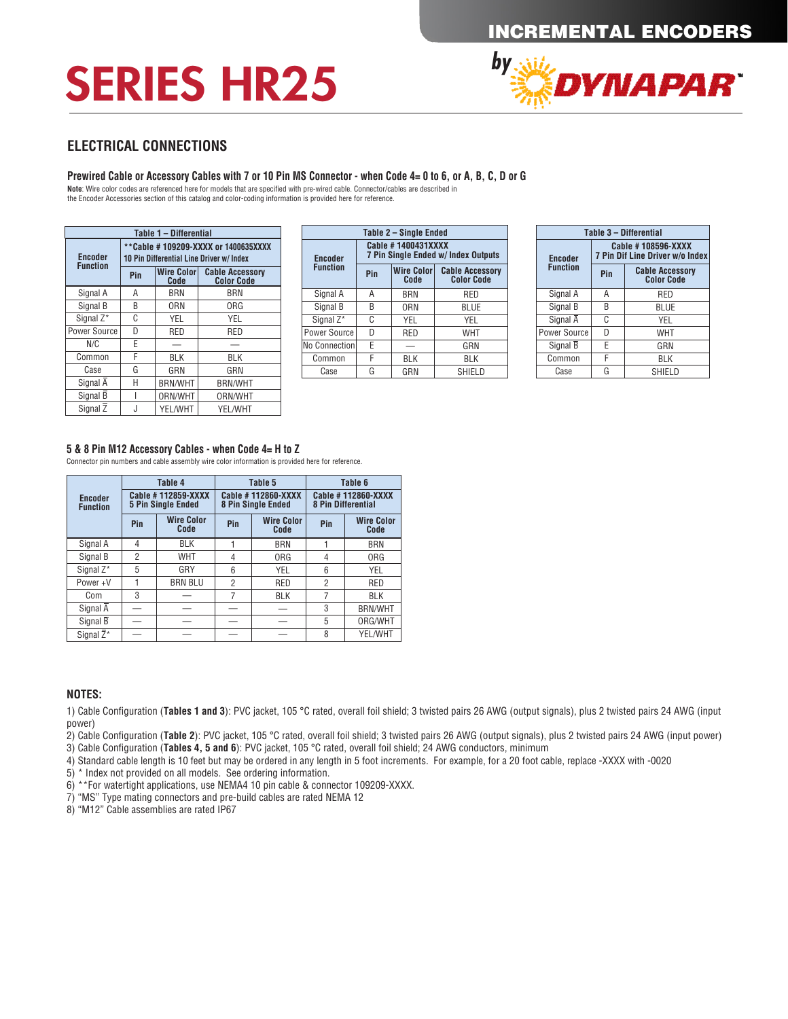## SERIES HR25



#### **ELECTRICAL CONNECTIONS**

#### **Prewired Cable or Accessory Cables with 7 or 10 Pin MS Connector - when Code 4= 0 to 6, or A, B, C, D or G**

**Note**: Wire color codes are referenced here for models that are specified with pre-wired cable. Connector/cables are described in<br>the Encoder Accessories section of this catalog and color-coding information is provided he

| Table 1 - Differential |                                                                                 |                                  |                                             |  |  |
|------------------------|---------------------------------------------------------------------------------|----------------------------------|---------------------------------------------|--|--|
| <b>Encoder</b>         | **Cable #109209-XXXX or 1400635XXXX<br>10 Pin Differential Line Driver w/ Index |                                  |                                             |  |  |
| <b>Function</b>        | <b>Wire Color</b><br>Pin<br>Code                                                |                                  | <b>Cable Accessory</b><br><b>Color Code</b> |  |  |
| Signal A               | А                                                                               | <b>BRN</b>                       | <b>BRN</b>                                  |  |  |
| Signal B               | B                                                                               | ORN                              | ORG                                         |  |  |
| Signal Z*              | C                                                                               | YEL                              | YEL                                         |  |  |
| Power Source           | D                                                                               | <b>RED</b>                       | RED                                         |  |  |
| N/C                    | E                                                                               |                                  |                                             |  |  |
| Common                 | F                                                                               | BLK                              | BLK                                         |  |  |
| Case                   | G                                                                               | GRN                              | GRN                                         |  |  |
| Signal A               | Н                                                                               | <b>BRN/WHT</b><br><b>BRN/WHT</b> |                                             |  |  |
| Signal B               |                                                                                 | ORN/WHT                          | ORN/WHT                                     |  |  |
| Signal Z               | J                                                                               | YEL/WHT                          | YEL/WHT                                     |  |  |

| Table 2 – Single Ended |                                                                  |            |                                             |  |  |  |
|------------------------|------------------------------------------------------------------|------------|---------------------------------------------|--|--|--|
| <b>Encoder</b>         | Cable #1400431XXXX<br><b>7 Pin Single Ended w/ Index Outputs</b> |            |                                             |  |  |  |
| <b>Function</b>        | <b>Wire Color</b><br>Pin<br>Code                                 |            | <b>Cable Accessory</b><br><b>Color Code</b> |  |  |  |
| Signal A               | А                                                                | <b>BRN</b> | RED                                         |  |  |  |
| Signal B               | B                                                                | <b>ORN</b> | BLUE                                        |  |  |  |
| Signal Z*              | C                                                                | YEL        | YEL                                         |  |  |  |
| Power Source           | D                                                                | <b>RED</b> | <b>WHT</b>                                  |  |  |  |
| No Connection          | E                                                                |            | GRN                                         |  |  |  |
| Common                 | F                                                                | BLK        | <b>BLK</b>                                  |  |  |  |
| Case                   | G                                                                | GRN        | <b>SHIELD</b>                               |  |  |  |

| Table 3 - Differential |                                                       |                                             |  |  |  |
|------------------------|-------------------------------------------------------|---------------------------------------------|--|--|--|
| <b>Encoder</b>         | Cable #108596-XXXX<br>7 Pin Dif Line Driver w/o Index |                                             |  |  |  |
| <b>Function</b>        | Pin                                                   | <b>Cable Accessory</b><br><b>Color Code</b> |  |  |  |
| Signal A               | А                                                     | RED                                         |  |  |  |
| Signal B               | B                                                     | BLUE                                        |  |  |  |
| Signal A               | C                                                     | YEL                                         |  |  |  |
| Power Source           | D                                                     | WHT                                         |  |  |  |
| Signal B               | Е                                                     | GRN                                         |  |  |  |
| Common                 | F                                                     | BLK                                         |  |  |  |
| Case                   | G                                                     | SHIELD                                      |  |  |  |

#### **5 & 8 Pin M12 Accessory Cables - when Code 4= H to Z**

Connector pin numbers and cable assembly wire color information is provided here for reference.

|                                   |                                                 | Table 4                   | Table 5                                  |                           | Table 6                                         |                           |
|-----------------------------------|-------------------------------------------------|---------------------------|------------------------------------------|---------------------------|-------------------------------------------------|---------------------------|
| <b>Encoder</b><br><b>Function</b> | Cable #112859-XXXX<br><b>5 Pin Single Ended</b> |                           | Cable #112860-XXXX<br>8 Pin Single Ended |                           | Cable #112860-XXXX<br><b>8 Pin Differential</b> |                           |
|                                   | Pin                                             | <b>Wire Color</b><br>Code | Pin                                      | <b>Wire Color</b><br>Code | Pin                                             | <b>Wire Color</b><br>Code |
| Signal A                          | 4                                               | BLK                       |                                          | <b>BRN</b>                |                                                 | <b>BRN</b>                |
| Signal B                          | $\overline{2}$                                  | <b>WHT</b>                | 4                                        | <b>ORG</b>                | 4                                               | <b>ORG</b>                |
| Signal Z*                         | 5                                               | GRY                       | 6                                        | YEL                       | 6                                               | YEL                       |
| Power+V                           |                                                 | <b>BRN BLU</b>            | $\overline{2}$                           | <b>RED</b>                | $\overline{2}$                                  | <b>RED</b>                |
| Com                               | 3                                               |                           | 7                                        | <b>BLK</b>                | 7                                               | <b>BLK</b>                |
| Signal $\overline{A}$             |                                                 |                           |                                          |                           | 3                                               | <b>BRN/WHT</b>            |
| Signal B                          |                                                 |                           |                                          |                           | 5                                               | ORG/WHT                   |
| Signal $\overline{Z}^*$           |                                                 |                           |                                          |                           | 8                                               | YEL/WHT                   |

#### **NOTES:**

1) Cable Configuration (**Tables 1 and 3**): PVC jacket, 105 °C rated, overall foil shield; 3 twisted pairs 26 AWG (output signals), plus 2 twisted pairs 24 AWG (input power)

2) Cable Configuration (**Table 2**): PVC jacket, 105 °C rated, overall foil shield; 3 twisted pairs 26 AWG (output signals), plus 2 twisted pairs 24 AWG (input power)

3) Cable Configuration (**Tables 4, 5 and 6**): PVC jacket, 105 °C rated, overall foil shield; 24 AWG conductors, minimum

4) Standard cable length is 10 feet but may be ordered in any length in 5 foot increments. For example, for a 20 foot cable, replace -XXXX with -0020

5) \* Index not provided on all models. See ordering information.

6) \*\*For watertight applications, use NEMA4 10 pin cable & connector 109209-XXXX.

7) "MS" Type mating connectors and pre-build cables are rated NEMA 12

8) "M12" Cable assemblies are rated IP67